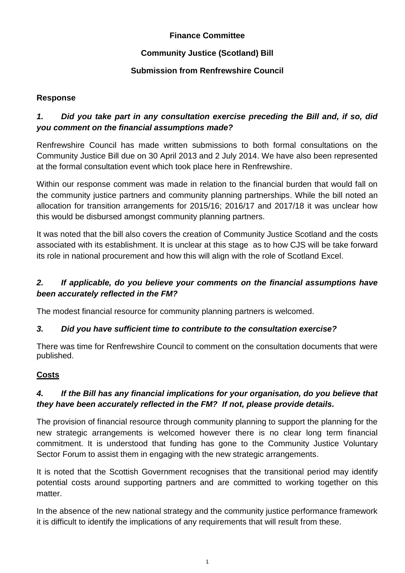# **Finance Committee**

### **Community Justice (Scotland) Bill**

### **Submission from Renfrewshire Council**

### **Response**

# *1. Did you take part in any consultation exercise preceding the Bill and, if so, did you comment on the financial assumptions made?*

Renfrewshire Council has made written submissions to both formal consultations on the Community Justice Bill due on 30 April 2013 and 2 July 2014. We have also been represented at the formal consultation event which took place here in Renfrewshire.

Within our response comment was made in relation to the financial burden that would fall on the community justice partners and community planning partnerships. While the bill noted an allocation for transition arrangements for 2015/16; 2016/17 and 2017/18 it was unclear how this would be disbursed amongst community planning partners.

It was noted that the bill also covers the creation of Community Justice Scotland and the costs associated with its establishment. It is unclear at this stage as to how CJS will be take forward its role in national procurement and how this will align with the role of Scotland Excel.

# *2. If applicable, do you believe your comments on the financial assumptions have been accurately reflected in the FM?*

The modest financial resource for community planning partners is welcomed.

#### *3. Did you have sufficient time to contribute to the consultation exercise?*

There was time for Renfrewshire Council to comment on the consultation documents that were published.

#### **Costs**

### *4. If the Bill has any financial implications for your organisation, do you believe that they have been accurately reflected in the FM? If not, please provide details.*

The provision of financial resource through community planning to support the planning for the new strategic arrangements is welcomed however there is no clear long term financial commitment. It is understood that funding has gone to the Community Justice Voluntary Sector Forum to assist them in engaging with the new strategic arrangements.

It is noted that the Scottish Government recognises that the transitional period may identify potential costs around supporting partners and are committed to working together on this matter.

In the absence of the new national strategy and the community justice performance framework it is difficult to identify the implications of any requirements that will result from these.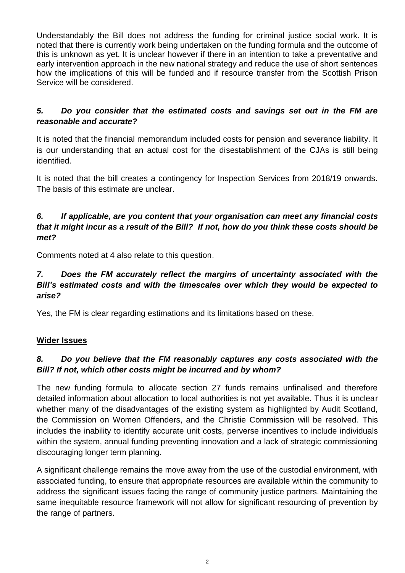Understandably the Bill does not address the funding for criminal justice social work. It is noted that there is currently work being undertaken on the funding formula and the outcome of this is unknown as yet. It is unclear however if there in an intention to take a preventative and early intervention approach in the new national strategy and reduce the use of short sentences how the implications of this will be funded and if resource transfer from the Scottish Prison Service will be considered.

### *5. Do you consider that the estimated costs and savings set out in the FM are reasonable and accurate?*

It is noted that the financial memorandum included costs for pension and severance liability. It is our understanding that an actual cost for the disestablishment of the CJAs is still being identified.

It is noted that the bill creates a contingency for Inspection Services from 2018/19 onwards. The basis of this estimate are unclear.

# *6. If applicable, are you content that your organisation can meet any financial costs that it might incur as a result of the Bill? If not, how do you think these costs should be met?*

Comments noted at 4 also relate to this question.

### *7. Does the FM accurately reflect the margins of uncertainty associated with the Bill's estimated costs and with the timescales over which they would be expected to arise?*

Yes, the FM is clear regarding estimations and its limitations based on these.

#### **Wider Issues**

# *8. Do you believe that the FM reasonably captures any costs associated with the Bill? If not, which other costs might be incurred and by whom?*

The new funding formula to allocate section 27 funds remains unfinalised and therefore detailed information about allocation to local authorities is not yet available. Thus it is unclear whether many of the disadvantages of the existing system as highlighted by Audit Scotland, the Commission on Women Offenders, and the Christie Commission will be resolved. This includes the inability to identify accurate unit costs, perverse incentives to include individuals within the system, annual funding preventing innovation and a lack of strategic commissioning discouraging longer term planning.

A significant challenge remains the move away from the use of the custodial environment, with associated funding, to ensure that appropriate resources are available within the community to address the significant issues facing the range of community justice partners. Maintaining the same inequitable resource framework will not allow for significant resourcing of prevention by the range of partners.